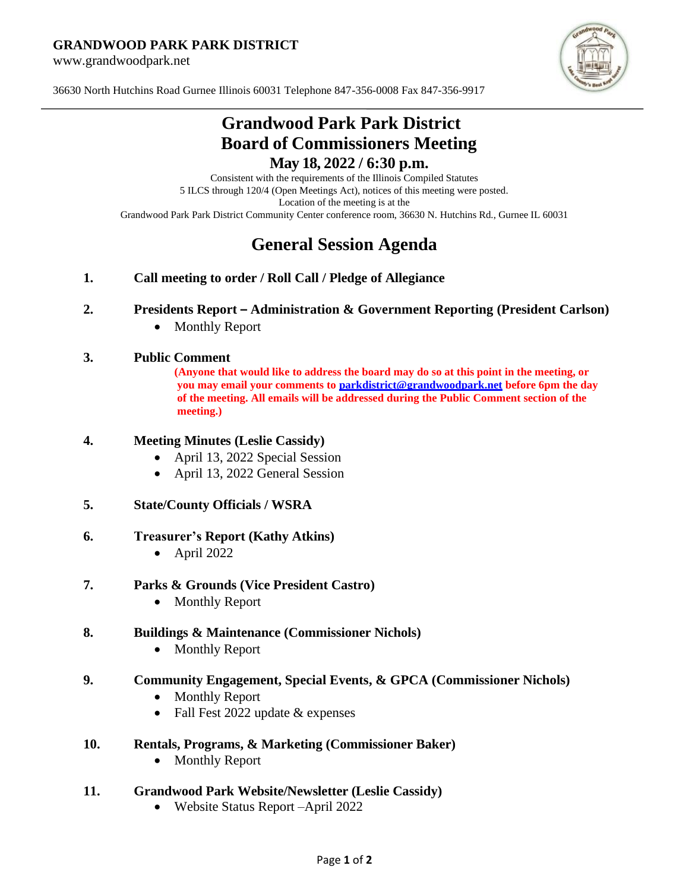#### **GRANDWOOD PARK PARK DISTRICT**

www.grandwoodpark.net



36630 North Hutchins Road Gurnee Illinois 60031 Telephone 847-356-0008 Fax 847-356-9917

## **Grandwood Park Park District Board of Commissioners Meeting May 18, 2022 / 6:30 p.m.**

Consistent with the requirements of the Illinois Compiled Statutes 5 ILCS through 120/4 (Open Meetings Act), notices of this meeting were posted. Location of the meeting is at the Grandwood Park Park District Community Center conference room, 36630 N. Hutchins Rd., Gurnee IL 60031

# **General Session Agenda**

**1. Call meeting to order / Roll Call / Pledge of Allegiance**

#### **2. Presidents Report – Administration & Government Reporting (President Carlson)**

• Monthly Report

#### **3. Public Comment**

**(Anyone that would like to address the board may do so at this point in the meeting, or you may email your comments to [parkdistrict@grandwoodpark.net](mailto:parkdistrict@grandwoodpark.net) before 6pm the day of the meeting. All emails will be addressed during the Public Comment section of the meeting.)**

## **4. Meeting Minutes (Leslie Cassidy)**

- April 13, 2022 Special Session
- April 13, 2022 General Session

#### **5. State/County Officials / WSRA**

#### **6. Treasurer's Report (Kathy Atkins)**

- April 2022
- **7. Parks & Grounds (Vice President Castro)**
	- Monthly Report
- **8. Buildings & Maintenance (Commissioner Nichols)**
	- Monthly Report

## **9. Community Engagement, Special Events, & GPCA (Commissioner Nichols)**

- Monthly Report
- Fall Fest 2022 update & expenses
- **10. Rentals, Programs, & Marketing (Commissioner Baker)**
	- Monthly Report

#### **11. Grandwood Park Website/Newsletter (Leslie Cassidy)**

• Website Status Report –April 2022